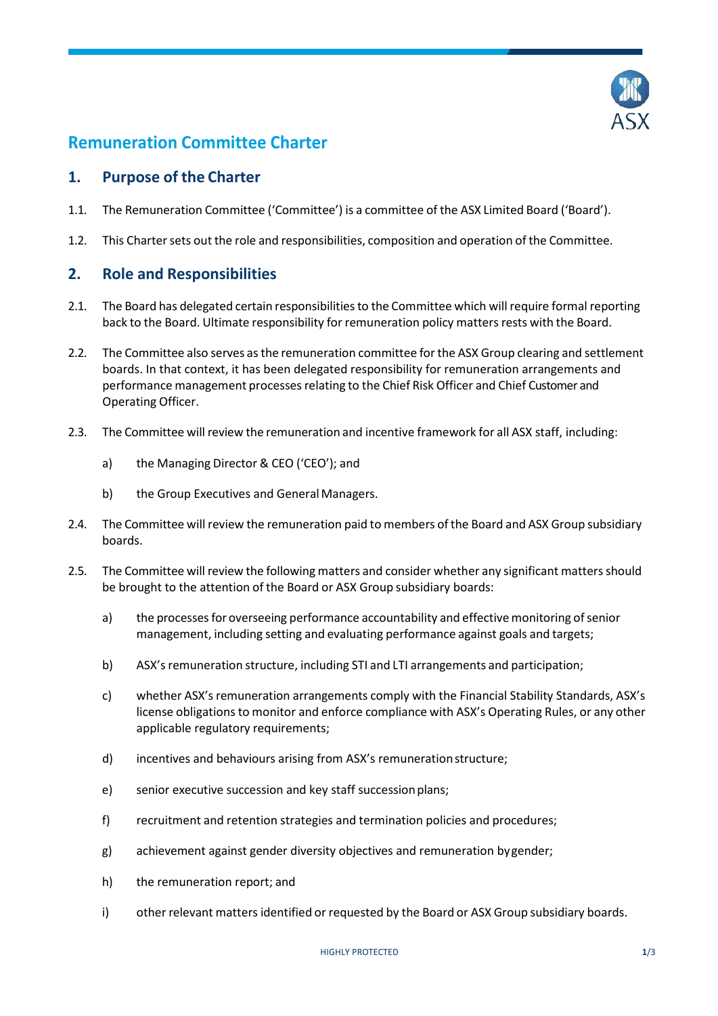

# **Remuneration Committee Charter**

## **1. Purpose of the Charter**

- 1.1. The Remuneration Committee ('Committee') is a committee of the ASX Limited Board ('Board').
- 1.2. This Charter sets out the role and responsibilities, composition and operation of the Committee.

## **2. Role and Responsibilities**

- 2.1. The Board has delegated certain responsibilities to the Committee which will require formal reporting back to the Board. Ultimate responsibility for remuneration policy matters rests with the Board.
- 2.2. The Committee also serves as the remuneration committee for the ASX Group clearing and settlement boards. In that context, it has been delegated responsibility for remuneration arrangements and performance management processesrelating to the Chief Risk Officer and Chief Customer and Operating Officer.
- 2.3. The Committee will review the remuneration and incentive framework for all ASX staff, including:
	- a) the Managing Director & CEO ('CEO'); and
	- b) the Group Executives and General Managers.
- 2.4. The Committee will review the remuneration paid to members of the Board and ASX Group subsidiary boards.
- 2.5. The Committee will review the following matters and consider whether any significant mattersshould be brought to the attention of the Board or ASX Group subsidiary boards:
	- a) the processes for overseeing performance accountability and effective monitoring of senior management, including setting and evaluating performance against goals and targets;
	- b) ASX's remuneration structure, including STI and LTI arrangements and participation;
	- c) whether ASX's remuneration arrangements comply with the Financial Stability Standards, ASX's license obligations to monitor and enforce compliance with ASX's Operating Rules, or any other applicable regulatory requirements;
	- d) incentives and behaviours arising from ASX's remunerationstructure;
	- e) senior executive succession and key staff succession plans;
	- f) recruitment and retention strategies and termination policies and procedures;
	- g) achievement against gender diversity objectives and remuneration bygender;
	- h) the remuneration report; and
	- i) other relevant matters identified or requested by the Board or ASX Group subsidiary boards.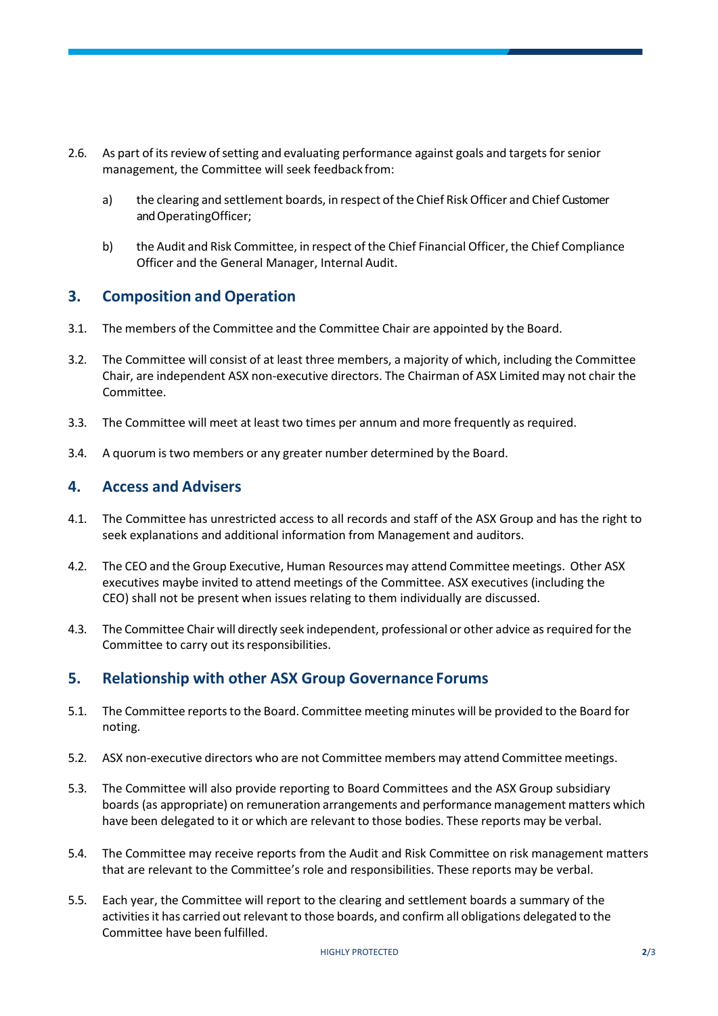- 2.6. As part of its review of setting and evaluating performance against goals and targets for senior management, the Committee will seek feedback from:
	- a) the clearing and settlement boards, in respect of the Chief Risk Officer and Chief Customer and OperatingOfficer;
	- b) the Audit and Risk Committee, in respect of the Chief Financial Officer, the Chief Compliance Officer and the General Manager, Internal Audit.

## **3. Composition and Operation**

- 3.1. The members of the Committee and the Committee Chair are appointed by the Board.
- 3.2. The Committee will consist of at least three members, a majority of which, including the Committee Chair, are independent ASX non-executive directors. The Chairman of ASX Limited may not chair the Committee.
- 3.3. The Committee will meet at least two times per annum and more frequently as required.
- 3.4. A quorum is two members or any greater number determined by the Board.

### **4. Access and Advisers**

- 4.1. The Committee has unrestricted access to all records and staff of the ASX Group and has the right to seek explanations and additional information from Management and auditors.
- 4.2. The CEO and the Group Executive, Human Resources may attend Committee meetings. Other ASX executives maybe invited to attend meetings of the Committee. ASX executives (including the CEO) shall not be present when issues relating to them individually are discussed.
- 4.3. The Committee Chair will directly seek independent, professional or other advice as required for the Committee to carry out its responsibilities.

## **5. Relationship with other ASX Group Governance Forums**

- 5.1. The Committee reports to the Board. Committee meeting minutes will be provided to the Board for noting.
- 5.2. ASX non-executive directors who are not Committee members may attend Committee meetings.
- 5.3. The Committee will also provide reporting to Board Committees and the ASX Group subsidiary boards (as appropriate) on remuneration arrangements and performance management matters which have been delegated to it or which are relevant to those bodies. These reports may be verbal.
- 5.4. The Committee may receive reports from the Audit and Risk Committee on risk management matters that are relevant to the Committee's role and responsibilities. These reports may be verbal.
- 5.5. Each year, the Committee will report to the clearing and settlement boards a summary of the activitiesit has carried out relevant to those boards, and confirm all obligations delegated to the Committee have been fulfilled.